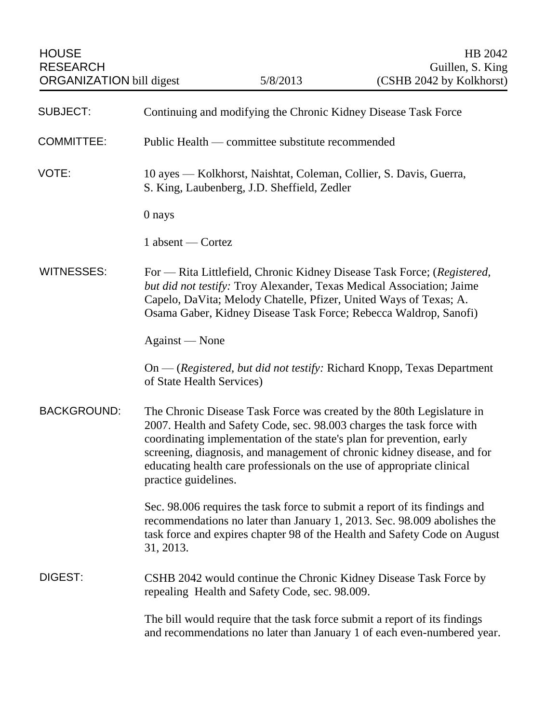| <b>SUBJECT:</b>    | Continuing and modifying the Chronic Kidney Disease Task Force                                                                                                                                                                                                                                                                                                                                       |
|--------------------|------------------------------------------------------------------------------------------------------------------------------------------------------------------------------------------------------------------------------------------------------------------------------------------------------------------------------------------------------------------------------------------------------|
| <b>COMMITTEE:</b>  | Public Health — committee substitute recommended                                                                                                                                                                                                                                                                                                                                                     |
| VOTE:              | 10 ayes — Kolkhorst, Naishtat, Coleman, Collier, S. Davis, Guerra,<br>S. King, Laubenberg, J.D. Sheffield, Zedler                                                                                                                                                                                                                                                                                    |
|                    | 0 nays                                                                                                                                                                                                                                                                                                                                                                                               |
|                    | 1 absent — Cortez                                                                                                                                                                                                                                                                                                                                                                                    |
| <b>WITNESSES:</b>  | For — Rita Littlefield, Chronic Kidney Disease Task Force; (Registered,<br>but did not testify: Troy Alexander, Texas Medical Association; Jaime<br>Capelo, DaVita; Melody Chatelle, Pfizer, United Ways of Texas; A.<br>Osama Gaber, Kidney Disease Task Force; Rebecca Waldrop, Sanofi)                                                                                                            |
|                    | Against — None                                                                                                                                                                                                                                                                                                                                                                                       |
|                    | On - (Registered, but did not testify: Richard Knopp, Texas Department<br>of State Health Services)                                                                                                                                                                                                                                                                                                  |
| <b>BACKGROUND:</b> | The Chronic Disease Task Force was created by the 80th Legislature in<br>2007. Health and Safety Code, sec. 98.003 charges the task force with<br>coordinating implementation of the state's plan for prevention, early<br>screening, diagnosis, and management of chronic kidney disease, and for<br>educating health care professionals on the use of appropriate clinical<br>practice guidelines. |
|                    | Sec. 98.006 requires the task force to submit a report of its findings and<br>recommendations no later than January 1, 2013. Sec. 98.009 abolishes the<br>task force and expires chapter 98 of the Health and Safety Code on August<br>31, 2013.                                                                                                                                                     |
| DIGEST:            | CSHB 2042 would continue the Chronic Kidney Disease Task Force by<br>repealing Health and Safety Code, sec. 98.009.                                                                                                                                                                                                                                                                                  |
|                    | The bill would require that the task force submit a report of its findings<br>and recommendations no later than January 1 of each even-numbered year.                                                                                                                                                                                                                                                |